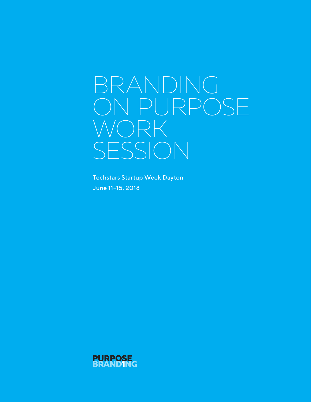# BRANDING ON PURPOSE WORK SESSION

Techstars Startup Week Dayton June 11–15, 2018

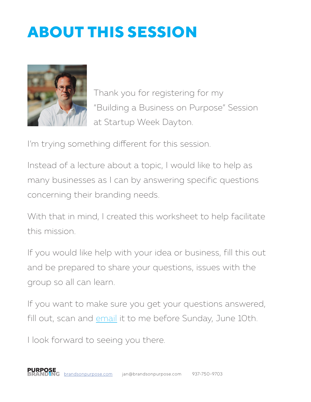# **ABOUT THIS SESSION**



Thank you for registering for my "Building a Business on Purpose" Session at Startup Week Dayton.

I'm trying something different for this session.

Instead of a lecture about a topic, I would like to help as many businesses as I can by answering specific questions concerning their branding needs.

With that in mind, I created this worksheet to help facilitate this mission.

If you would like help with your idea or business, fill this out and be prepared to share your questions, issues with the group so all can learn.

If you want to make sure you get your questions answered, fill out, scan and [email](mailto:jan%40brandsonpurpose.com?subject=Pre-Session%20Worksheet) it to me before Sunday, June 10th.

I look forward to seeing you there.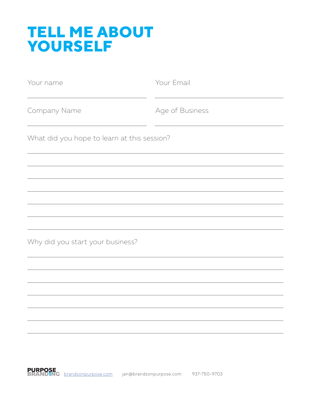## **TELL ME ABOUT YOURSELF**

| Your name                                   | Your Email      |
|---------------------------------------------|-----------------|
| Company Name                                | Age of Business |
| What did you hope to learn at this session? |                 |
|                                             |                 |
|                                             |                 |
|                                             |                 |
|                                             |                 |
| Why did you start your business?            |                 |
|                                             |                 |
|                                             |                 |
|                                             |                 |
|                                             |                 |
|                                             |                 |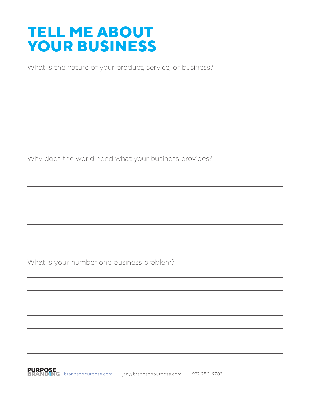## **TELL ME ABOUT YOUR BUSINESS**

What is the nature of your product, service, or business?

Why does the world need what your business provides?

What is your number one business problem?